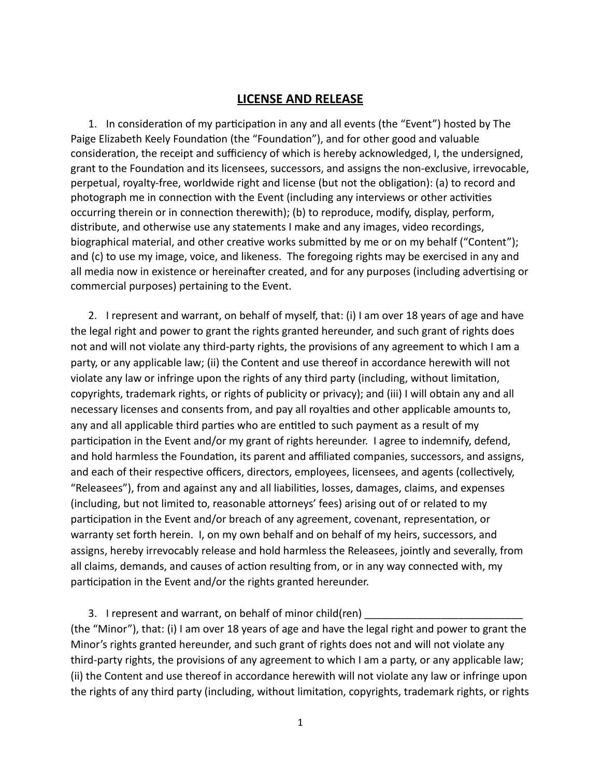## **LICENSE AND RELEASE**

1. In consideration of my participation in any and all events (the "Event") hosted by The Paige Elizabeth Keely Foundation (the "Foundation"), and for other good and valuable consideration, the receipt and sufficiency of which is hereby acknowledged, I, the undersigned, grant to the Foundation and its licensees, successors, and assigns the non-exclusive, irrevocable, perpetual, royalty-free, worldwide right and license (but not the obligation): (a) to record and photograph me in connection with the Event (including any interviews or other activities occurring therein or in connection therewith); (b) to reproduce, modify, display, perform, distribute, and otherwise use any statements I make and any images, video recordings, biographical material, and other creative works submitted by me or on my behalf ("Content"); and (c) to use my image, voice, and likeness. The foregoing rights may be exercised in any and all media now in existence or hereinafter created, and for any purposes (including advertising or commercial purposes) pertaining to the Event.

2. I represent and warrant, on behalf of myself, that: (i) I am over 18 years of age and have the legal right and power to grant the rights granted hereunder, and such grant of rights does not and will not violate any third-party rights, the provisions of any agreement to which I am a party, or any applicable law; (ii) the Content and use thereof in accordance herewith will not violate any law or infringe upon the rights of any third party (including, without limitation, copyrights, trademark rights, or rights of publicity or privacy); and (iii) I will obtain any and all necessary licenses and consents from, and pay all royalties and other applicable amounts to, any and all applicable third parties who are entitled to such payment as a result of my participation in the Event and/or my grant of rights hereunder. I agree to indemnify, defend, and hold harmless the Foundation, its parent and affiliated companies, successors, and assigns, and each of their respective officers, directors, employees, licensees, and agents (collectively, "Releasees"), from and against any and all liabilities, losses, damages, claims, and expenses (including, but not limited to, reasonable attorneys' fees) arising out of or related to my participation in the Event and/or breach of any agreement, covenant, representation, or warranty set forth herein. I, on my own behalf and on behalf of my heirs, successors, and assigns, hereby irrevocably release and hold harmless the Releasees, jointly and severally, from all claims, demands, and causes of action resulting from, or in any way connected with, my participation in the Event and/or the rights granted hereunder.

3. I represent and warrant, on behalf of minor child(ren) (the "Minor"), that: (i) I am over 18 years of age and have the legal right and power to grant the Minor's rights granted hereunder, and such grant of rights does not and will not violate any third-party rights, the provisions of any agreement to which I am a party, or any applicable law; (ii) the Content and use thereof in accordance herewith will not violate any law or infringe upon the rights of any third party (including, without limitation, copyrights, trademark rights, or rights

1